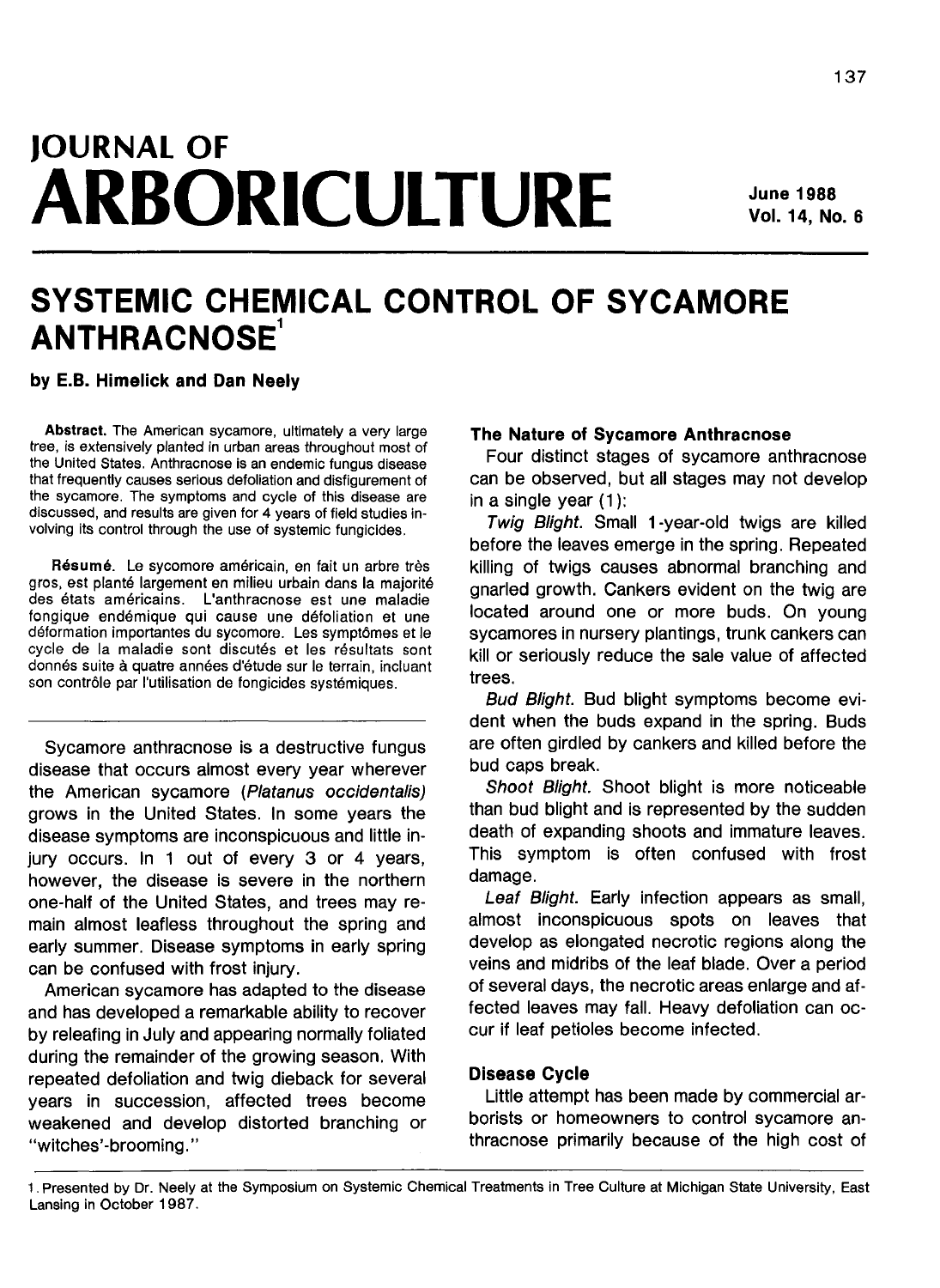# **JOURNAL OF ARBORICULTURE**

# **SYSTEMIC CHEMICAL CONTROL OF SYCAMORE ANTHRACNOSE<sup>1</sup>**

**by E.B. Himelick and Dan Neely**

**Abstract.** The American sycamore, ultimately a very large tree, is extensively planted in urban areas throughout most of the United States. Anthracnose is an endemic fungus disease that frequently causes serious defoliation and disfigurement of the sycamore. The symptoms and cycle of this disease are discussed, and results are given for 4 years of field studies involving its control through the use of systemic fungicides.

Résumé. Le sycomore américain, en fait un arbre très gros, est plante largement en milieu urbain dans la majorite des etats americains. L'anthracnose est une maladie fongique endemique qui cause une defoliation et une déformation importantes du sycomore. Les symptômes et le cycle de la maladie sont discutés et les résultats sont donnés suite à quatre années d'étude sur le terrain, incluant son contrôle par l'utilisation de fongicides systémiques.

Sycamore anthracnose is a destructive fungus disease that occurs almost every year wherever the American sycamore (Platanus occidentalis) grows in the United States. In some years the disease symptoms are inconspicuous and little injury occurs. In 1 out of every 3 or 4 years, however, the disease is severe in the northern one-half of the United States, and trees may remain almost leafless throughout the spring and early summer. Disease symptoms in early spring can be confused with frost injury.

American sycamore has adapted to the disease and has developed a remarkable ability to recover by releafing in July and appearing normally foliated during the remainder of the growing season. With repeated defoliation and twig dieback for several years in succession, affected trees become weakened and develop distorted branching or "witches'-brooming.''

### **The Nature of Sycamore Anthracnose**

Four distinct stages of sycamore anthracnose can be observed, but all stages may not develop in a single year (1):

Twig Blight. Small 1-year-old twigs are killed before the leaves emerge in the spring. Repeated killing of twigs causes abnormal branching and gnarled growth. Cankers evident on the twig are located around one or more buds. On young sycamores in nursery plantings, trunk cankers can kill or seriously reduce the sale value of affected trees.

Bud Blight. Bud blight symptoms become evident when the buds expand in the spring. Buds are often girdled by cankers and killed before the bud caps break.

Shoot Blight. Shoot blight is more noticeable than bud blight and is represented by the sudden death of expanding shoots and immature leaves. This symptom is often confused with frost damage.

Leaf Blight. Early infection appears as small, almost inconspicuous spots on leaves that develop as elongated necrotic regions along the veins and midribs of the leaf blade. Over a period of several days, the necrotic areas enlarge and affected leaves may fall. Heavy defoliation can occur if leaf petioles become infected.

## **Disease Cycle**

Little attempt has been made by commercial arborists or homeowners to control sycamore anthracnose primarily because of the high cost of

<sup>1.</sup> Presented by Dr. Neely at the Symposium on Systemic Chemical Treatments in Tree Culture at Michigan State University, East Lansing in October 1987.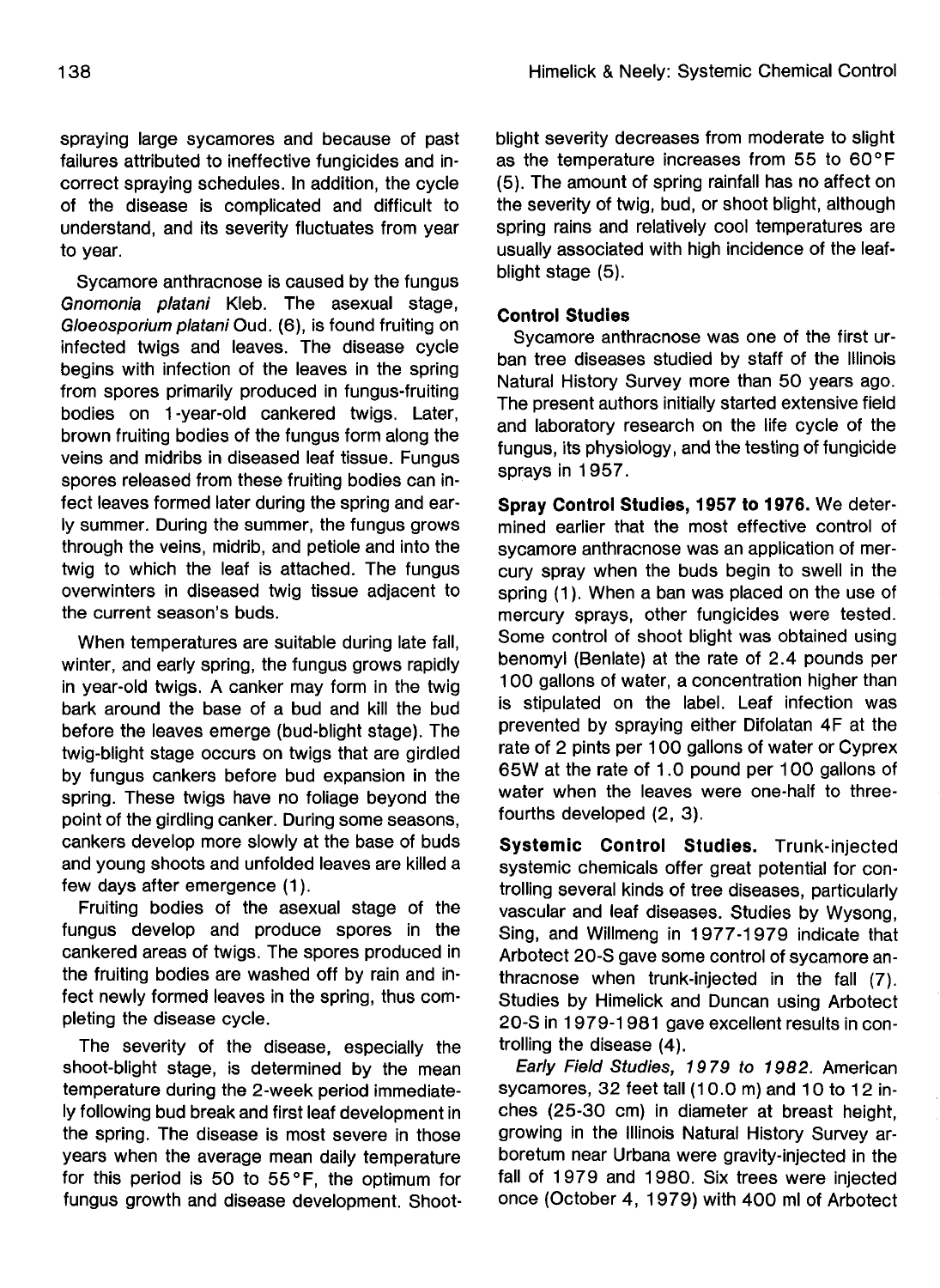spraying large sycamores and because of past failures attributed to ineffective fungicides and incorrect spraying schedules. In addition, the cycle of the disease is complicated and difficult to understand, and its severity fluctuates from year to year.

Sycamore anthracnose is caused by the fungus Gnomonia platani Kleb. The asexual stage, Gloeosporium platani Oud. (6), is found fruiting on infected twigs and leaves. The disease cycle begins with infection of the leaves in the spring from spores primarily produced in fungus-fruiting bodies on 1-year-old cankered twigs. Later, brown fruiting bodies of the fungus form along the veins and midribs in diseased leaf tissue. Fungus spores released from these fruiting bodies can infect leaves formed later during the spring and early summer. During the summer, the fungus grows through the veins, midrib, and petiole and into the twig to which the leaf is attached. The fungus overwinters in diseased twig tissue adjacent to the current season's buds.

When temperatures are suitable during late fall, winter, and early spring, the fungus grows rapidly in year-old twigs. A canker may form in the twig bark around the base of a bud and kill the bud before the leaves emerge (bud-blight stage). The twig-blight stage occurs on twigs that are girdled by fungus cankers before bud expansion in the spring. These twigs have no foliage beyond the point of the girdling canker. During some seasons, cankers develop more slowly at the base of buds and young shoots and unfolded leaves are killed a few days after emergence (1).

Fruiting bodies of the asexual stage of the fungus develop and produce spores in the cankered areas of twigs. The spores produced in the fruiting bodies are washed off by rain and infect newly formed leaves in the spring, thus completing the disease cycle.

The severity of the disease, especially the shoot-blight stage, is determined by the mean temperature during the 2-week period immediately following bud break and first leaf development in the spring. The disease is most severe in those years when the average mean daily temperature for this period is 50 to  $55^{\circ}$ F, the optimum for fungus growth and disease development. Shootblight severity decreases from moderate to slight as the temperature increases from 55 to 60°F (5). The amount of spring rainfall has no affect on the severity of twig, bud, or shoot blight, although spring rains and relatively cool temperatures are usually associated with high incidence of the leafblight stage (5).

## **Control Studies**

Sycamore anthracnose was one of the first urban tree diseases studied by staff of the Illinois Natural History Survey more than 50 years ago. The present authors initially started extensive field and laboratory research on the life cycle of the fungus, its physiology, and the testing of fungicide sprays in 1957.

**Spray Control Studies, 1957 to 1976.** We determined earlier that the most effective control of sycamore anthracnose was an application of mercury spray when the buds begin to swell in the spring (1). When a ban was placed on the use of mercury sprays, other fungicides were tested. Some control of shoot blight was obtained using benomyl (Benlate) at the rate of 2.4 pounds per 100 gallons of water, a concentration higher than is stipulated on the label. Leaf infection was prevented by spraying either Difolatan 4F at the rate of 2 pints per 100 gallons of water or Cyprex 65W at the rate of 1.0 pound per 100 gallons of water when the leaves were one-half to threefourths developed (2, 3).

**Systemic Control Studies.** Trunk-injected systemic chemicals offer great potential for controlling several kinds of tree diseases, particularly vascular and leaf diseases. Studies by Wysong, Sing, and Willmeng in 1977-1979 indicate that Arbotect 20-S gave some control of sycamore anthracnose when trunk-injected in the fall (7). Studies by Himelick and Duncan using Arbotect 20-S in 1979-1981 gave excellent results in controlling the disease (4).

Early Field Studies, 1979 to 1982. American sycamores, 32 feet tall (10.0 m) and 10 to 12 inches (25-30 cm) in diameter at breast height, growing in the Illinois Natural History Survey arboretum near Urbana were gravity-injected in the fall of 1979 and 1980. Six trees were injected once (October 4, 1979) with 400 ml of Arbotect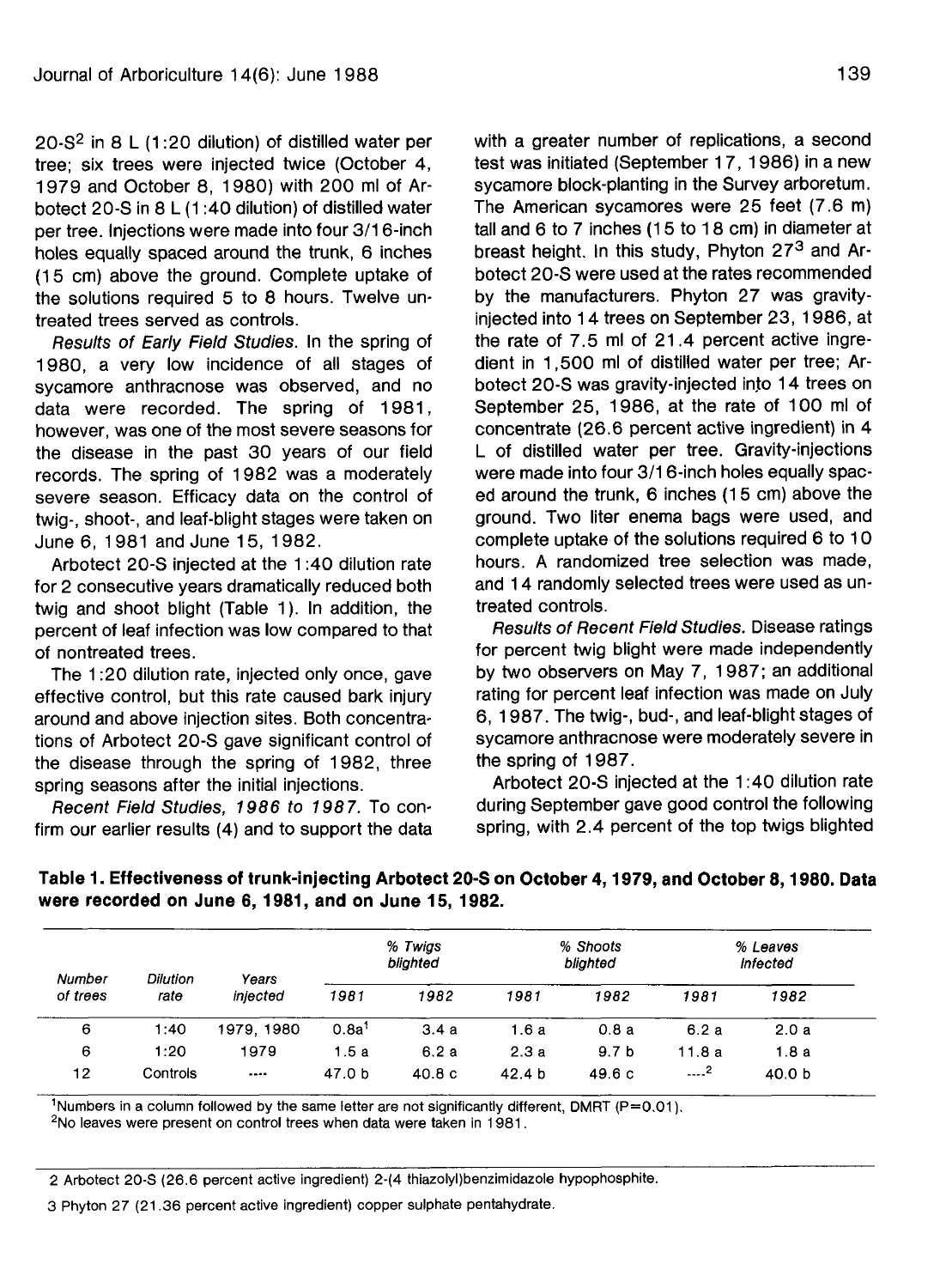20-S<sup>2</sup> in 8 L (1:20 dilution) of distilled water per tree; six trees were injected twice (October 4, 1979 and October 8, 1980) with 200 ml of Arbotect 20-S in 8 L (1:40 dilution) of distilled water per tree. Injections were made into four 3/16-inch holes equally spaced around the trunk, 6 inches (15 cm) above the ground. Complete uptake of the solutions required 5 to 8 hours. Twelve untreated trees served as controls.

Results of Early Field Studies. In the spring of 1980, a very low incidence of all stages of sycamore anthracnose was observed, and no data were recorded. The spring of 1981, however, was one of the most severe seasons for the disease in the past 30 years of our field records. The spring of 1982 was a moderately severe season. Efficacy data on the control of twig-, shoot-, and leaf-blight stages were taken on June 6, 1981 and June 15, 1982.

Arbotect 20-S injected at the 1:40 dilution rate for 2 consecutive years dramatically reduced both twig and shoot blight (Table 1). In addition, the percent of leaf infection was low compared to that of nontreated trees.

The 1:20 dilution rate, injected only once, gave effective control, but this rate caused bark injury around and above injection sites. Both concentrations of Arbotect 20-S gave significant control of the disease through the spring of 1982, three spring seasons after the initial injections.

Recent Field Studies, 1986 to 1987. To confirm our earlier results (4) and to support the data

with a greater number of replications, a second test was initiated (September 17,1986) in a new sycamore block-planting in the Survey arboretum. The American sycamores were 25 feet (7.6 m) tall and 6 to 7 inches (15 to 18 cm) in diameter at breast height. In this study, Phyton 27<sup>3</sup> and Arbotect 20-S were used at the rates recommended by the manufacturers. Phyton 27 was gravityinjected into 14 trees on September 23, 1986, at the rate of 7.5 ml of 21.4 percent active ingredient in 1,500 ml of distilled water per tree; Arbotect 20-S was gravity-injected into 14 trees on September 25, 1986, at the rate of 100 ml of concentrate (26.6 percent active ingredient) in 4 L of distilled water per tree. Gravity-injections were made into four 3/16-inch holes equally spaced around the trunk, 6 inches (15 cm) above the ground. Two liter enema bags were used, and complete uptake of the solutions required 6 to 10 hours. A randomized tree selection was made, and 14 randomly selected trees were used as untreated controls.

Results of Recent Field Studies. Disease ratings for percent twig blight were made independently by two observers on May 7, 1987; an additional rating for percent leaf infection was made on July 6, 1987. The twig-, bud-, and leaf-blight stages of sycamore anthracnose were moderately severe in the spring of 1987.

Arbotect 20-S injected at the 1:40 dilution rate during September gave good control the following spring, with 2.4 percent of the top twigs blighted

% Shoots £ Vo Twigs % Leaves blighted blighted Infected Number Dilution Years of trees rate injected 1981 1982 1981 1982 1981 1982 6 1:40 1979, 1980  $0.8a<sup>1</sup>$ 3.4 a 1.6a 0.8 a 6.2 a 2.0 a 6<br>2  $\epsilon$ 1:20 1979 1.5 a 6.2 a 2.3 a 9.7 b 11.8 a 1.8 a **—.2**  $12$ Controls  $\ddotsc$ 47.0 b 40.8 c 42.4 b 49.6 c 40.0 b

**Table 1. Effectiveness of trunk-injecting Arbotect 20-S on October 4,1979, and October 8,1980. Data were recorded on June 6,1981, and on June 15, 1982.**

<sup>1</sup>Numbers in a column followed by the same letter are not significantly different, DMRT (P=0.01).

<sup>2</sup>No leaves were present on control trees when data were taken in 1981.

2 Arbotect 20-S (26.6 percent active ingredient) 2-(4 thiazolyl)benzimidazole hypophosphite.

3 Phyton 27 (21.36 percent active ingredient) copper sulphate pentahydrate.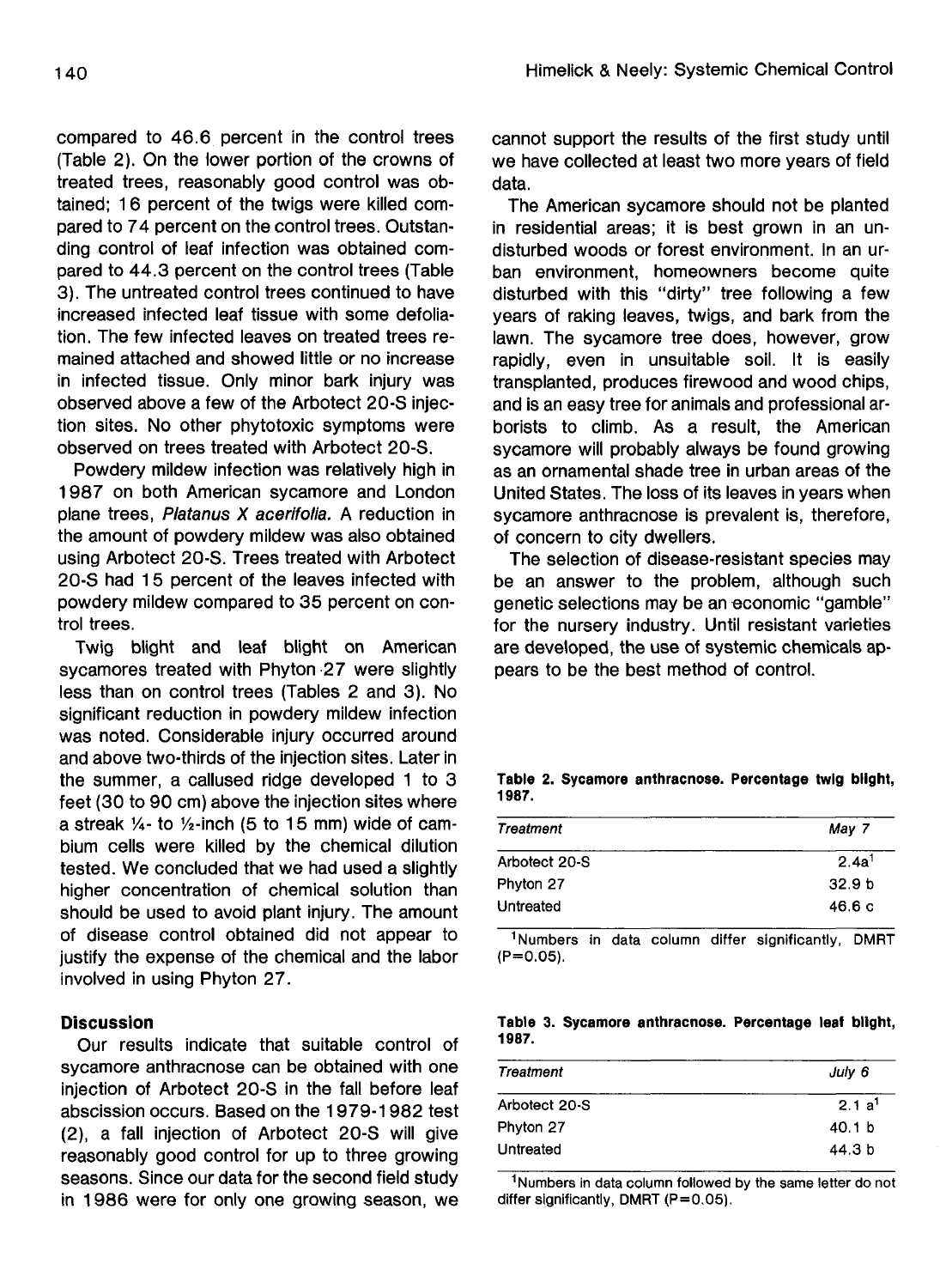compared to 46.6 percent in the control trees (Table 2). On the lower portion of the crowns of treated trees, reasonably good control was obtained; 16 percent of the twigs were killed compared to 74 percent on the control trees. Outstanding control of leaf infection was obtained compared to 44.3 percent on the control trees (Table 3). The untreated control trees continued to have increased infected leaf tissue with some defoliation. The few infected leaves on treated trees remained attached and showed little or no increase in infected tissue. Only minor bark injury was observed above a few of the Arbotect 20-S injection sites. No other phytotoxic symptoms were observed on trees treated with Arbotect 20-S.

Powdery mildew infection was relatively high in 1987 on both American sycamore and London plane trees, Platanus X acerifolia. A reduction in the amount of powdery mildew was also obtained using Arbotect 20-S. Trees treated with Arbotect 20-S had 15 percent of the leaves infected with powdery mildew compared to 35 percent on control trees.

Twig blight and leaf blight on American sycamores treated with Phyton 27 were slightly less than on control trees (Tables 2 and 3). No significant reduction in powdery mildew infection was noted. Considerable injury occurred around and above two-thirds of the injection sites. Later in the summer, a callused ridge developed 1 to 3 feet (30 to 90 cm) above the injection sites where a streak  $\frac{1}{4}$ - to  $\frac{1}{2}$ -inch (5 to 15 mm) wide of cambium cells were killed by the chemical dilution tested. We concluded that we had used a slightly higher concentration of chemical solution than should be used to avoid plant injury. The amount of disease control obtained did not appear to justify the expense of the chemical and the labor involved in using Phyton 27.

### **Discussion**

Our results indicate that suitable control of sycamore anthracnose can be obtained with one injection of Arbotect 20-S in the fall before leaf abscission occurs. Based on the 1979-1982 test (2), a fall injection of Arbotect 20-S will give reasonably good control for up to three growing seasons. Since our data for the second field study in 1986 were for only one growing season, we cannot support the results of the first study until we have collected at least two more years of field data.

The American sycamore should not be planted in residential areas; it is best grown in an undisturbed woods or forest environment. In an urban environment, homeowners become quite disturbed with this "dirty" tree following a few years of raking leaves, twigs, and bark from the lawn. The sycamore tree does, however, grow rapidly, even in unsuitable soil. It is easily transplanted, produces firewood and wood chips, and is an easy tree for animals and professional arborists to climb. As a result, the American sycamore will probably always be found growing as an ornamental shade tree in urban areas of the United States. The loss of its leaves in years when sycamore anthracnose is prevalent is, therefore, of concern to city dwellers.

The selection of disease-resistant species may be an answer to the problem, although such genetic selections may be an economic "gamble" for the nursery industry. Until resistant varieties are developed, the use of systemic chemicals appears to be the best method of control.

| Treatment     | May 7             |
|---------------|-------------------|
| Arbotect 20-S | 2.4a <sup>1</sup> |
| Phyton 27     | 32.9 <sub>b</sub> |
| Untreated     | 46.6c             |

**Table 2. Sycamore anthracnose. Percentage twig blight, 1987.**

<sup>1</sup>Numbers in data column differ significantly, DMRT  $(P=0.05)$ .

**Table 3. Sycamore anthracnose. Percentage leaf blight, 1987.**

| Treatment     | July 6            |
|---------------|-------------------|
| Arbotect 20-S | 2.1a <sup>1</sup> |
| Phyton 27     | 40.1 b            |
| Untreated     | 44.3 b            |

<sup>1</sup>Numbers in data column followed by the same letter do not differ significantly, DMRT (P=0.05).